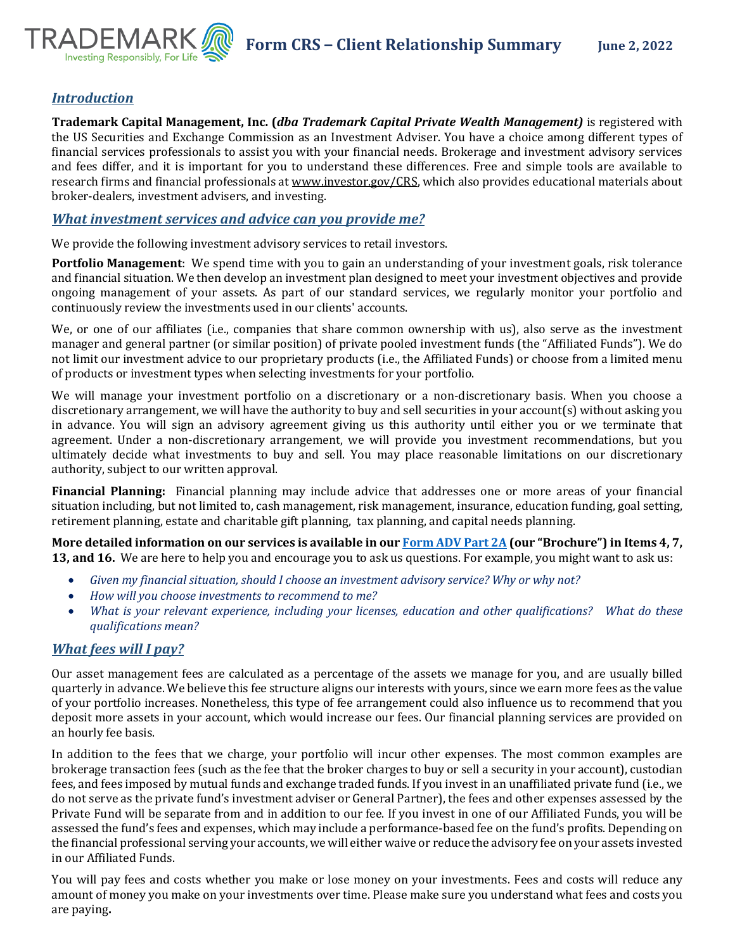

# *Introduction*

**Trademark Capital Management, Inc. (***dba Trademark Capital Private Wealth Management)* is registered with the US Securities and Exchange Commission as an Investment Adviser. You have a choice among different types of financial services professionals to assist you with your financial needs. Brokerage and investment advisory services and fees differ, and it is important for you to understand these differences. Free and simple tools are available to research firms and financial professionals a[t www.investor.gov/CRS,](http://www.investor.gov/CRS) which also provides educational materials about broker-dealers, investment advisers, and investing.

## *What investment services and advice can you provide me?*

We provide the following investment advisory services to retail investors.

**Portfolio Management**: We spend time with you to gain an understanding of your investment goals, risk tolerance and financial situation. We then develop an investment plan designed to meet your investment objectives and provide ongoing management of your assets. As part of our standard services, we regularly monitor your portfolio and continuously review the investments used in our clients' accounts.

We, or one of our affiliates (i.e., companies that share common ownership with us), also serve as the investment manager and general partner (or similar position) of private pooled investment funds (the "Affiliated Funds"). We do not limit our investment advice to our proprietary products (i.e., the Affiliated Funds) or choose from a limited menu of products or investment types when selecting investments for your portfolio.

We will manage your investment portfolio on a discretionary or a non-discretionary basis. When you choose a discretionary arrangement, we will have the authority to buy and sell securities in your account(s) without asking you in advance. You will sign an advisory agreement giving us this authority until either you or we terminate that agreement. Under a non-discretionary arrangement, we will provide you investment recommendations, but you ultimately decide what investments to buy and sell. You may place reasonable limitations on our discretionary authority, subject to our written approval.

**Financial Planning:** Financial planning may include advice that addresses one or more areas of your financial situation including, but not limited to, cash management, risk management, insurance, education funding, goal setting, retirement planning, estate and charitable gift planning, tax planning, and capital needs planning.

**More detailed information on our services is available in ou[r Form ADV Part 2A](https://adviserinfo.sec.gov/firm/summary/214512) (our "Brochure") in Items 4, 7, 13, and 16.** We are here to help you and encourage you to ask us questions. For example, you might want to ask us:

- *Given my financial situation, should I choose an investment advisory service? Why or why not?*
- *How will you choose investments to recommend to me?*
- *What is your relevant experience, including your licenses, education and other qualifications? What do these qualifications mean?*

# *What fees will I pay?*

Our asset management fees are calculated as a percentage of the assets we manage for you, and are usually billed quarterly in advance. We believe this fee structure aligns our interests with yours, since we earn more fees as the value of your portfolio increases. Nonetheless, this type of fee arrangement could also influence us to recommend that you deposit more assets in your account, which would increase our fees. Our financial planning services are provided on an hourly fee basis.

In addition to the fees that we charge, your portfolio will incur other expenses. The most common examples are brokerage transaction fees (such as the fee that the broker charges to buy or sell a security in your account), custodian fees, and fees imposed by mutual funds and exchange traded funds. If you invest in an unaffiliated private fund (i.e., we do not serve as the private fund's investment adviser or General Partner), the fees and other expenses assessed by the Private Fund will be separate from and in addition to our fee. If you invest in one of our Affiliated Funds, you will be assessed the fund's fees and expenses, which may include a performance-based fee on the fund's profits. Depending on the financial professional serving your accounts, we will either waive or reduce the advisory fee on your assets invested in our Affiliated Funds.

You will pay fees and costs whether you make or lose money on your investments. Fees and costs will reduce any amount of money you make on your investments over time. Please make sure you understand what fees and costs you are paying**.**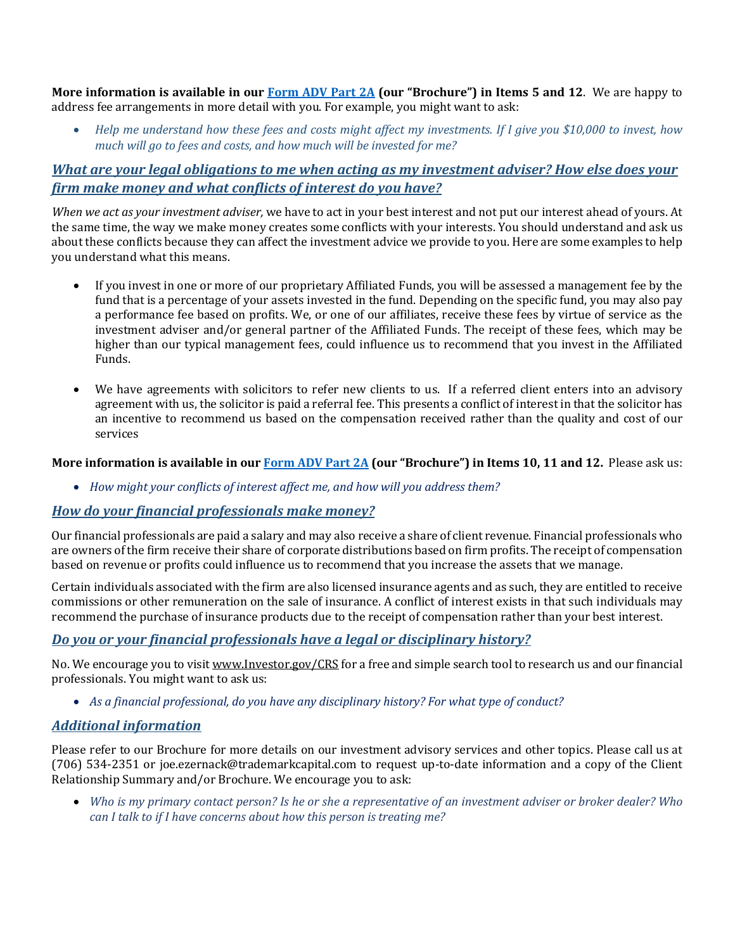**More information is available in our [Form ADV Part 2A](https://adviserinfo.sec.gov/firm/summary/214512) (our "Brochure") in Items 5 and 12**. We are happy to address fee arrangements in more detail with you. For example, you might want to ask:

• *Help me understand how these fees and costs might affect my investments. If I give you \$10,000 to invest, how much will go to fees and costs, and how much will be invested for me?*

# *What are your legal obligations to me when acting as my investment adviser? How else does your firm make money and what conflicts of interest do you have?*

*When we act as your investment adviser,* we have to act in your best interest and not put our interest ahead of yours. At the same time, the way we make money creates some conflicts with your interests. You should understand and ask us about these conflicts because they can affect the investment advice we provide to you. Here are some examples to help you understand what this means.

- If you invest in one or more of our proprietary Affiliated Funds, you will be assessed a management fee by the fund that is a percentage of your assets invested in the fund. Depending on the specific fund, you may also pay a performance fee based on profits. We, or one of our affiliates, receive these fees by virtue of service as the investment adviser and/or general partner of the Affiliated Funds. The receipt of these fees, which may be higher than our typical management fees, could influence us to recommend that you invest in the Affiliated Funds.
- We have agreements with solicitors to refer new clients to us. If a referred client enters into an advisory agreement with us, the solicitor is paid a referral fee. This presents a conflict of interest in that the solicitor has an incentive to recommend us based on the compensation received rather than the quality and cost of our services

#### **More information is available in our [Form ADV Part 2A](https://adviserinfo.sec.gov/firm/summary/214512) (our "Brochure") in Items 10, 11 and 12.** Please ask us:

• *How might your conflicts of interest affect me, and how will you address them?*

## *How do your financial professionals make money?*

Our financial professionals are paid a salary and may also receive a share of client revenue. Financial professionals who are owners of the firm receive their share of corporate distributions based on firm profits. The receipt of compensation based on revenue or profits could influence us to recommend that you increase the assets that we manage.

Certain individuals associated with the firm are also licensed insurance agents and as such, they are entitled to receive commissions or other remuneration on the sale of insurance. A conflict of interest exists in that such individuals may recommend the purchase of insurance products due to the receipt of compensation rather than your best interest.

## *Do you or your financial professionals have a legal or disciplinary history?*

No. We encourage you to visi[t www.Investor.gov/CRS](http://www.investor.gov/CRS) for a free and simple search tool to research us and our financial professionals. You might want to ask us:

• *As a financial professional, do you have any disciplinary history? For what type of conduct?* 

## *Additional information*

Please refer to our Brochure for more details on our investment advisory services and other topics. Please call us at (706) 534-2351 or joe.ezernack@trademarkcapital.com to request up-to-date information and a copy of the Client Relationship Summary and/or Brochure. We encourage you to ask:

• *Who is my primary contact person? Is he or she a representative of an investment adviser or broker dealer? Who can I talk to if I have concerns about how this person is treating me?*